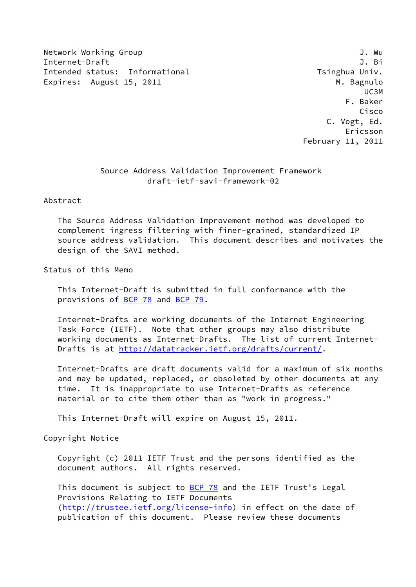Network Working Group 3. The Second Second Second Second Second Second Second Second Second Second Second Second Second Second Second Second Second Second Second Second Second Second Second Second Second Second Second Seco Internet-Draft J. Bi Intended status: Informational Theorem Tsinghua Univ. Expires: August 15, 2011 and the control of the M. Bagnulo

 UC3M F. Baker Cisco C. Vogt, Ed. Ericsson February 11, 2011

# Source Address Validation Improvement Framework draft-ietf-savi-framework-02

Abstract

 The Source Address Validation Improvement method was developed to complement ingress filtering with finer-grained, standardized IP source address validation. This document describes and motivates the design of the SAVI method.

Status of this Memo

 This Internet-Draft is submitted in full conformance with the provisions of [BCP 78](https://datatracker.ietf.org/doc/pdf/bcp78) and [BCP 79](https://datatracker.ietf.org/doc/pdf/bcp79).

 Internet-Drafts are working documents of the Internet Engineering Task Force (IETF). Note that other groups may also distribute working documents as Internet-Drafts. The list of current Internet- Drafts is at<http://datatracker.ietf.org/drafts/current/>.

 Internet-Drafts are draft documents valid for a maximum of six months and may be updated, replaced, or obsoleted by other documents at any time. It is inappropriate to use Internet-Drafts as reference material or to cite them other than as "work in progress."

This Internet-Draft will expire on August 15, 2011.

Copyright Notice

 Copyright (c) 2011 IETF Trust and the persons identified as the document authors. All rights reserved.

This document is subject to **[BCP 78](https://datatracker.ietf.org/doc/pdf/bcp78)** and the IETF Trust's Legal Provisions Relating to IETF Documents [\(http://trustee.ietf.org/license-info](http://trustee.ietf.org/license-info)) in effect on the date of publication of this document. Please review these documents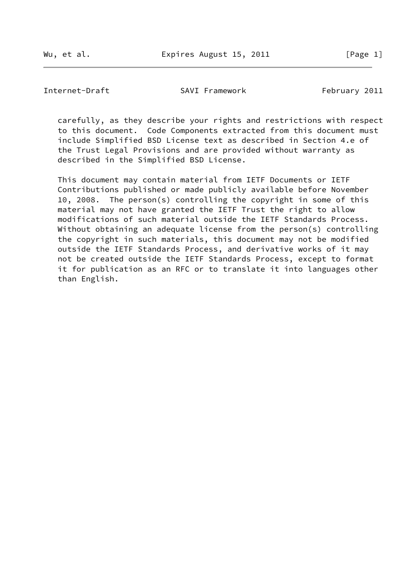Internet-Draft SAVI Framework February 2011

 carefully, as they describe your rights and restrictions with respect to this document. Code Components extracted from this document must include Simplified BSD License text as described in Section 4.e of the Trust Legal Provisions and are provided without warranty as described in the Simplified BSD License.

 This document may contain material from IETF Documents or IETF Contributions published or made publicly available before November 10, 2008. The person(s) controlling the copyright in some of this material may not have granted the IETF Trust the right to allow modifications of such material outside the IETF Standards Process. Without obtaining an adequate license from the person(s) controlling the copyright in such materials, this document may not be modified outside the IETF Standards Process, and derivative works of it may not be created outside the IETF Standards Process, except to format it for publication as an RFC or to translate it into languages other than English.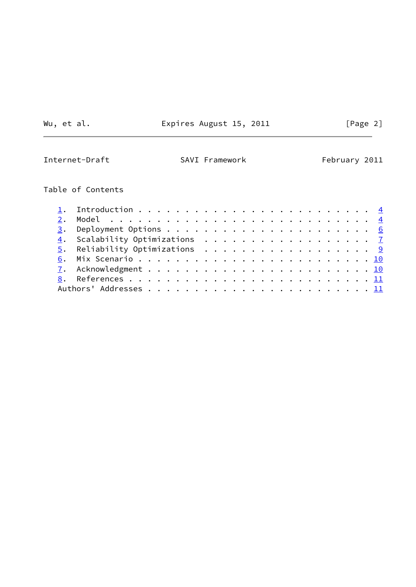Wu, et al. **Expires August 15, 2011** [Page 2]

 $\sim$ 

Internet-Draft SAVI Framework February 2011

# Table of Contents

|  | 4. Scalability Optimizations 7 |  |
|--|--------------------------------|--|
|  | 5. Reliability Optimizations 9 |  |
|  |                                |  |
|  |                                |  |
|  |                                |  |
|  |                                |  |
|  |                                |  |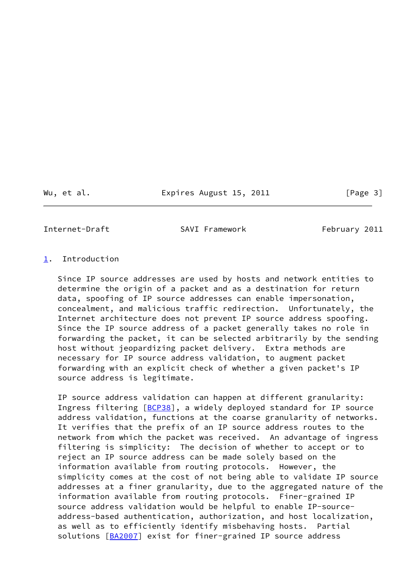Wu, et al. **Expires August 15, 2011** [Page 3]

<span id="page-3-1"></span>Internet-Draft SAVI Framework February 2011

## <span id="page-3-0"></span>[1](#page-3-0). Introduction

 Since IP source addresses are used by hosts and network entities to determine the origin of a packet and as a destination for return data, spoofing of IP source addresses can enable impersonation, concealment, and malicious traffic redirection. Unfortunately, the Internet architecture does not prevent IP source address spoofing. Since the IP source address of a packet generally takes no role in forwarding the packet, it can be selected arbitrarily by the sending host without jeopardizing packet delivery. Extra methods are necessary for IP source address validation, to augment packet forwarding with an explicit check of whether a given packet's IP source address is legitimate.

 IP source address validation can happen at different granularity: Ingress filtering [[BCP38\]](#page-11-3), a widely deployed standard for IP source address validation, functions at the coarse granularity of networks. It verifies that the prefix of an IP source address routes to the network from which the packet was received. An advantage of ingress filtering is simplicity: The decision of whether to accept or to reject an IP source address can be made solely based on the information available from routing protocols. However, the simplicity comes at the cost of not being able to validate IP source addresses at a finer granularity, due to the aggregated nature of the information available from routing protocols. Finer-grained IP source address validation would be helpful to enable IP-source address-based authentication, authorization, and host localization, as well as to efficiently identify misbehaving hosts. Partial solutions [[BA2007](#page-11-4)] exist for finer-grained IP source address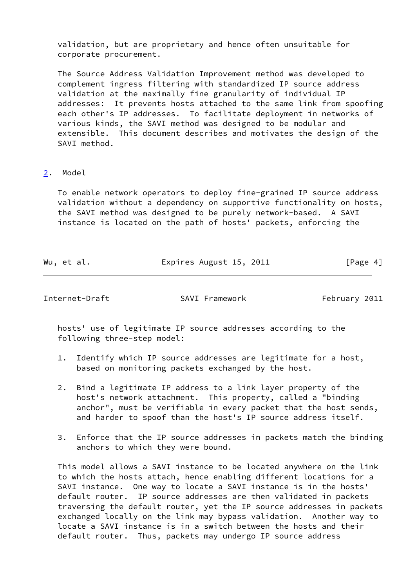validation, but are proprietary and hence often unsuitable for corporate procurement.

 The Source Address Validation Improvement method was developed to complement ingress filtering with standardized IP source address validation at the maximally fine granularity of individual IP addresses: It prevents hosts attached to the same link from spoofing each other's IP addresses. To facilitate deployment in networks of various kinds, the SAVI method was designed to be modular and extensible. This document describes and motivates the design of the SAVI method.

## <span id="page-4-0"></span>[2](#page-4-0). Model

 To enable network operators to deploy fine-grained IP source address validation without a dependency on supportive functionality on hosts, the SAVI method was designed to be purely network-based. A SAVI instance is located on the path of hosts' packets, enforcing the

| Wu, et al. | Expires August 15, 2011 | [Page 4] |
|------------|-------------------------|----------|
|            |                         |          |

Internet-Draft SAVI Framework February 2011

 hosts' use of legitimate IP source addresses according to the following three-step model:

- 1. Identify which IP source addresses are legitimate for a host, based on monitoring packets exchanged by the host.
- 2. Bind a legitimate IP address to a link layer property of the host's network attachment. This property, called a "binding anchor", must be verifiable in every packet that the host sends, and harder to spoof than the host's IP source address itself.
- 3. Enforce that the IP source addresses in packets match the binding anchors to which they were bound.

 This model allows a SAVI instance to be located anywhere on the link to which the hosts attach, hence enabling different locations for a SAVI instance. One way to locate a SAVI instance is in the hosts' default router. IP source addresses are then validated in packets traversing the default router, yet the IP source addresses in packets exchanged locally on the link may bypass validation. Another way to locate a SAVI instance is in a switch between the hosts and their default router. Thus, packets may undergo IP source address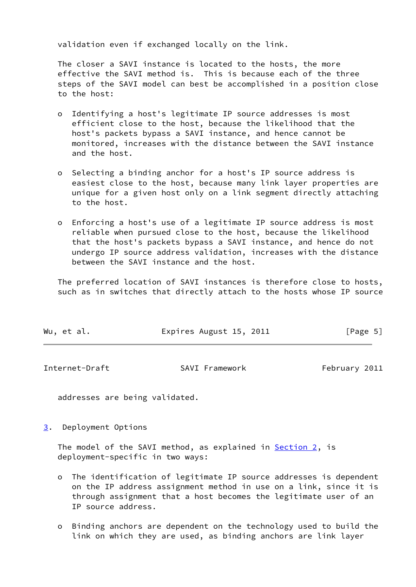validation even if exchanged locally on the link.

 The closer a SAVI instance is located to the hosts, the more effective the SAVI method is. This is because each of the three steps of the SAVI model can best be accomplished in a position close to the host:

- o Identifying a host's legitimate IP source addresses is most efficient close to the host, because the likelihood that the host's packets bypass a SAVI instance, and hence cannot be monitored, increases with the distance between the SAVI instance and the host.
- o Selecting a binding anchor for a host's IP source address is easiest close to the host, because many link layer properties are unique for a given host only on a link segment directly attaching to the host.
- o Enforcing a host's use of a legitimate IP source address is most reliable when pursued close to the host, because the likelihood that the host's packets bypass a SAVI instance, and hence do not undergo IP source address validation, increases with the distance between the SAVI instance and the host.

 The preferred location of SAVI instances is therefore close to hosts, such as in switches that directly attach to the hosts whose IP source

| [Page 5]<br>Expires August 15, 2011<br>Wu, et al. |  |  |
|---------------------------------------------------|--|--|
|---------------------------------------------------|--|--|

<span id="page-5-1"></span>Internet-Draft SAVI Framework February 2011

addresses are being validated.

<span id="page-5-0"></span>[3](#page-5-0). Deployment Options

The model of the SAVI method, as explained in **Section 2**, is deployment-specific in two ways:

- o The identification of legitimate IP source addresses is dependent on the IP address assignment method in use on a link, since it is through assignment that a host becomes the legitimate user of an IP source address.
- o Binding anchors are dependent on the technology used to build the link on which they are used, as binding anchors are link layer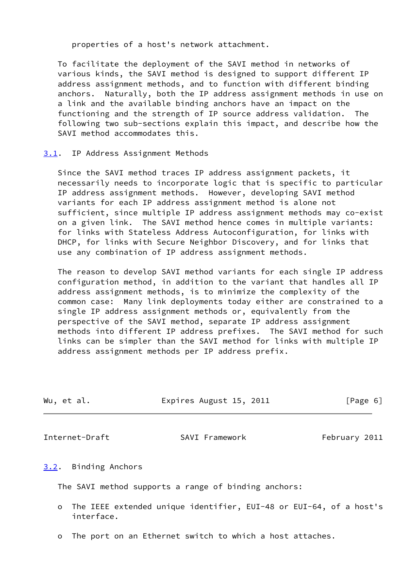properties of a host's network attachment.

 To facilitate the deployment of the SAVI method in networks of various kinds, the SAVI method is designed to support different IP address assignment methods, and to function with different binding anchors. Naturally, both the IP address assignment methods in use on a link and the available binding anchors have an impact on the functioning and the strength of IP source address validation. The following two sub-sections explain this impact, and describe how the SAVI method accommodates this.

#### <span id="page-6-1"></span>[3.1](#page-6-1). IP Address Assignment Methods

 Since the SAVI method traces IP address assignment packets, it necessarily needs to incorporate logic that is specific to particular IP address assignment methods. However, developing SAVI method variants for each IP address assignment method is alone not sufficient, since multiple IP address assignment methods may co-exist on a given link. The SAVI method hence comes in multiple variants: for links with Stateless Address Autoconfiguration, for links with DHCP, for links with Secure Neighbor Discovery, and for links that use any combination of IP address assignment methods.

 The reason to develop SAVI method variants for each single IP address configuration method, in addition to the variant that handles all IP address assignment methods, is to minimize the complexity of the common case: Many link deployments today either are constrained to a single IP address assignment methods or, equivalently from the perspective of the SAVI method, separate IP address assignment methods into different IP address prefixes. The SAVI method for such links can be simpler than the SAVI method for links with multiple IP address assignment methods per IP address prefix.

| Wu, et al. | Expires August 15, 2011 | [Page 6] |
|------------|-------------------------|----------|
|            |                         |          |

<span id="page-6-0"></span>Internet-Draft SAVI Framework February 2011

## <span id="page-6-2"></span>[3.2](#page-6-2). Binding Anchors

The SAVI method supports a range of binding anchors:

- o The IEEE extended unique identifier, EUI-48 or EUI-64, of a host's interface.
- o The port on an Ethernet switch to which a host attaches.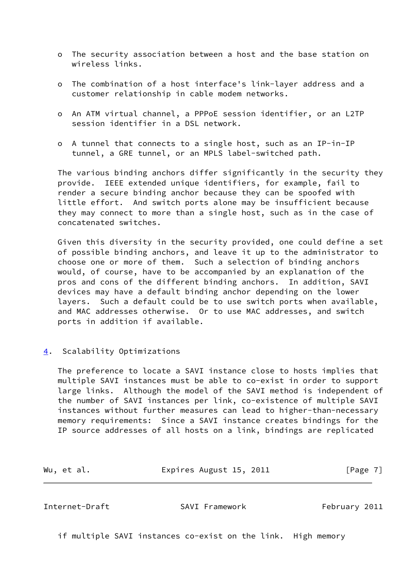- o The security association between a host and the base station on wireless links.
- o The combination of a host interface's link-layer address and a customer relationship in cable modem networks.
- o An ATM virtual channel, a PPPoE session identifier, or an L2TP session identifier in a DSL network.
- o A tunnel that connects to a single host, such as an IP-in-IP tunnel, a GRE tunnel, or an MPLS label-switched path.

 The various binding anchors differ significantly in the security they provide. IEEE extended unique identifiers, for example, fail to render a secure binding anchor because they can be spoofed with little effort. And switch ports alone may be insufficient because they may connect to more than a single host, such as in the case of concatenated switches.

 Given this diversity in the security provided, one could define a set of possible binding anchors, and leave it up to the administrator to choose one or more of them. Such a selection of binding anchors would, of course, have to be accompanied by an explanation of the pros and cons of the different binding anchors. In addition, SAVI devices may have a default binding anchor depending on the lower layers. Such a default could be to use switch ports when available, and MAC addresses otherwise. Or to use MAC addresses, and switch ports in addition if available.

<span id="page-7-0"></span>[4](#page-7-0). Scalability Optimizations

 The preference to locate a SAVI instance close to hosts implies that multiple SAVI instances must be able to co-exist in order to support large links. Although the model of the SAVI method is independent of the number of SAVI instances per link, co-existence of multiple SAVI instances without further measures can lead to higher-than-necessary memory requirements: Since a SAVI instance creates bindings for the IP source addresses of all hosts on a link, bindings are replicated

Wu, et al. **Expires August 15, 2011** [Page 7]

Internet-Draft SAVI Framework February 2011

if multiple SAVI instances co-exist on the link. High memory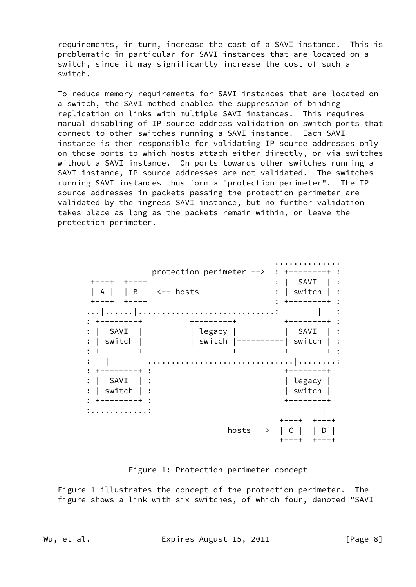requirements, in turn, increase the cost of a SAVI instance. This is problematic in particular for SAVI instances that are located on a switch, since it may significantly increase the cost of such a switch.

 To reduce memory requirements for SAVI instances that are located on a switch, the SAVI method enables the suppression of binding replication on links with multiple SAVI instances. This requires manual disabling of IP source address validation on switch ports that connect to other switches running a SAVI instance. Each SAVI instance is then responsible for validating IP source addresses only on those ports to which hosts attach either directly, or via switches without a SAVI instance. On ports towards other switches running a SAVI instance, IP source addresses are not validated. The switches running SAVI instances thus form a "protection perimeter". The IP source addresses in packets passing the protection perimeter are validated by the ingress SAVI instance, but no further validation takes place as long as the packets remain within, or leave the protection perimeter.



Figure 1: Protection perimeter concept

 Figure 1 illustrates the concept of the protection perimeter. The figure shows a link with six switches, of which four, denoted "SAVI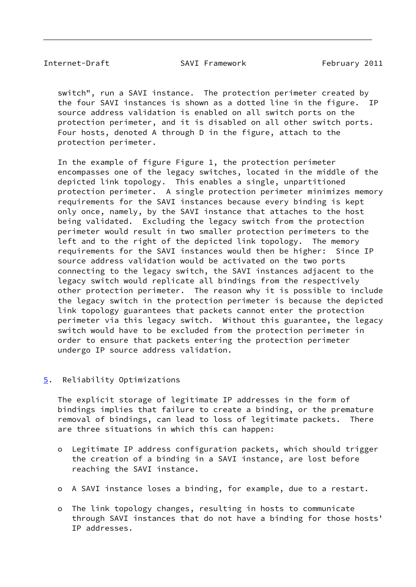#### <span id="page-9-1"></span>Internet-Draft SAVI Framework February 2011

 switch", run a SAVI instance. The protection perimeter created by the four SAVI instances is shown as a dotted line in the figure. IP source address validation is enabled on all switch ports on the protection perimeter, and it is disabled on all other switch ports. Four hosts, denoted A through D in the figure, attach to the protection perimeter.

 In the example of figure Figure 1, the protection perimeter encompasses one of the legacy switches, located in the middle of the depicted link topology. This enables a single, unpartitioned protection perimeter. A single protection perimeter minimizes memory requirements for the SAVI instances because every binding is kept only once, namely, by the SAVI instance that attaches to the host being validated. Excluding the legacy switch from the protection perimeter would result in two smaller protection perimeters to the left and to the right of the depicted link topology. The memory requirements for the SAVI instances would then be higher: Since IP source address validation would be activated on the two ports connecting to the legacy switch, the SAVI instances adjacent to the legacy switch would replicate all bindings from the respectively other protection perimeter. The reason why it is possible to include the legacy switch in the protection perimeter is because the depicted link topology guarantees that packets cannot enter the protection perimeter via this legacy switch. Without this guarantee, the legacy switch would have to be excluded from the protection perimeter in order to ensure that packets entering the protection perimeter undergo IP source address validation.

<span id="page-9-0"></span>[5](#page-9-0). Reliability Optimizations

 The explicit storage of legitimate IP addresses in the form of bindings implies that failure to create a binding, or the premature removal of bindings, can lead to loss of legitimate packets. There are three situations in which this can happen:

- o Legitimate IP address configuration packets, which should trigger the creation of a binding in a SAVI instance, are lost before reaching the SAVI instance.
- o A SAVI instance loses a binding, for example, due to a restart.
- o The link topology changes, resulting in hosts to communicate through SAVI instances that do not have a binding for those hosts' IP addresses.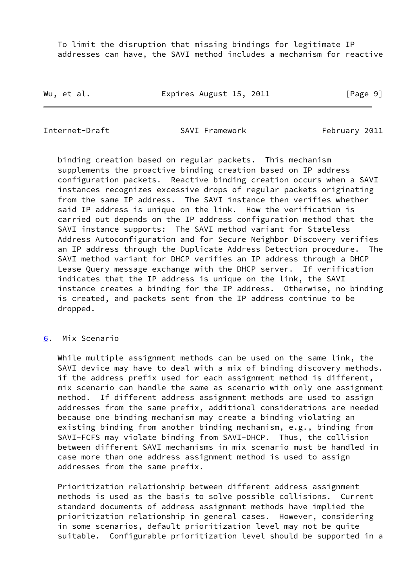To limit the disruption that missing bindings for legitimate IP addresses can have, the SAVI method includes a mechanism for reactive

Wu, et al. **Expires August 15, 2011** [Page 9]

<span id="page-10-1"></span>Internet-Draft SAVI Framework February 2011

 binding creation based on regular packets. This mechanism supplements the proactive binding creation based on IP address configuration packets. Reactive binding creation occurs when a SAVI instances recognizes excessive drops of regular packets originating from the same IP address. The SAVI instance then verifies whether said IP address is unique on the link. How the verification is carried out depends on the IP address configuration method that the SAVI instance supports: The SAVI method variant for Stateless Address Autoconfiguration and for Secure Neighbor Discovery verifies an IP address through the Duplicate Address Detection procedure. The SAVI method variant for DHCP verifies an IP address through a DHCP Lease Query message exchange with the DHCP server. If verification indicates that the IP address is unique on the link, the SAVI instance creates a binding for the IP address. Otherwise, no binding is created, and packets sent from the IP address continue to be dropped.

## <span id="page-10-0"></span>[6](#page-10-0). Mix Scenario

 While multiple assignment methods can be used on the same link, the SAVI device may have to deal with a mix of binding discovery methods. if the address prefix used for each assignment method is different, mix scenario can handle the same as scenario with only one assignment method. If different address assignment methods are used to assign addresses from the same prefix, additional considerations are needed because one binding mechanism may create a binding violating an existing binding from another binding mechanism, e.g., binding from SAVI-FCFS may violate binding from SAVI-DHCP. Thus, the collision between different SAVI mechanisms in mix scenario must be handled in case more than one address assignment method is used to assign addresses from the same prefix.

 Prioritization relationship between different address assignment methods is used as the basis to solve possible collisions. Current standard documents of address assignment methods have implied the prioritization relationship in general cases. However, considering in some scenarios, default prioritization level may not be quite suitable. Configurable prioritization level should be supported in a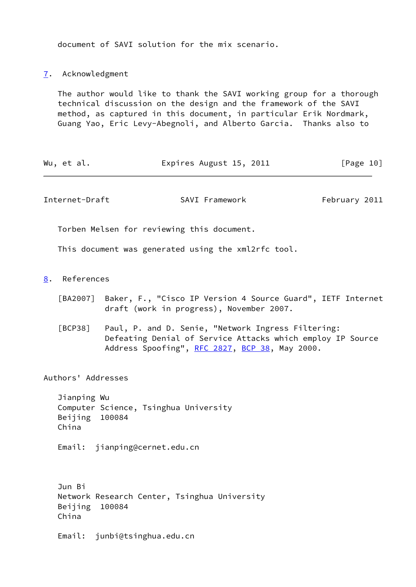document of SAVI solution for the mix scenario.

<span id="page-11-0"></span>[7](#page-11-0). Acknowledgment

 The author would like to thank the SAVI working group for a thorough technical discussion on the design and the framework of the SAVI method, as captured in this document, in particular Erik Nordmark, Guang Yao, Eric Levy-Abegnoli, and Alberto Garcia. Thanks also to

| Expires August 15, 2011<br>Wu, et al. | [Page 10] |
|---------------------------------------|-----------|
|---------------------------------------|-----------|

<span id="page-11-2"></span>Internet-Draft SAVI Framework February 2011

Torben Melsen for reviewing this document.

This document was generated using the xml2rfc tool.

- <span id="page-11-4"></span><span id="page-11-3"></span><span id="page-11-1"></span>[8](#page-11-1). References
	- [BA2007] Baker, F., "Cisco IP Version 4 Source Guard", IETF Internet draft (work in progress), November 2007.
	- [BCP38] Paul, P. and D. Senie, "Network Ingress Filtering: Defeating Denial of Service Attacks which employ IP Source Address Spoofing", [RFC 2827](https://datatracker.ietf.org/doc/pdf/rfc2827), [BCP 38](https://datatracker.ietf.org/doc/pdf/bcp38), May 2000.

Authors' Addresses

 Jianping Wu Computer Science, Tsinghua University Beijing 100084 China

Email: jianping@cernet.edu.cn

 Jun Bi Network Research Center, Tsinghua University Beijing 100084 China

Email: junbi@tsinghua.edu.cn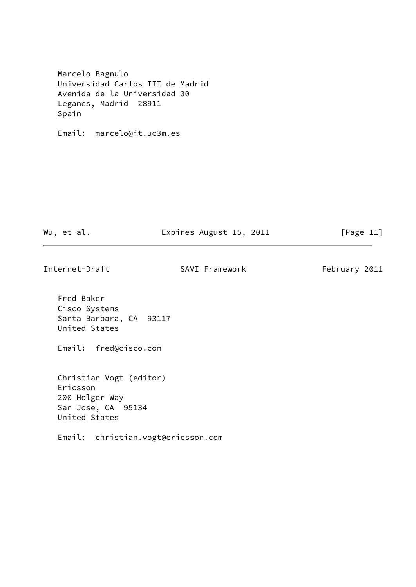Marcelo Bagnulo Universidad Carlos III de Madrid Avenida de la Universidad 30 Leganes, Madrid 28911 Spain

Email: marcelo@it.uc3m.es

Wu, et al. **Expires August 15, 2011** [Page 11]

Internet-Draft SAVI Framework February 2011

 Fred Baker Cisco Systems Santa Barbara, CA 93117 United States

Email: fred@cisco.com

 Christian Vogt (editor) Ericsson 200 Holger Way San Jose, CA 95134 United States

Email: christian.vogt@ericsson.com